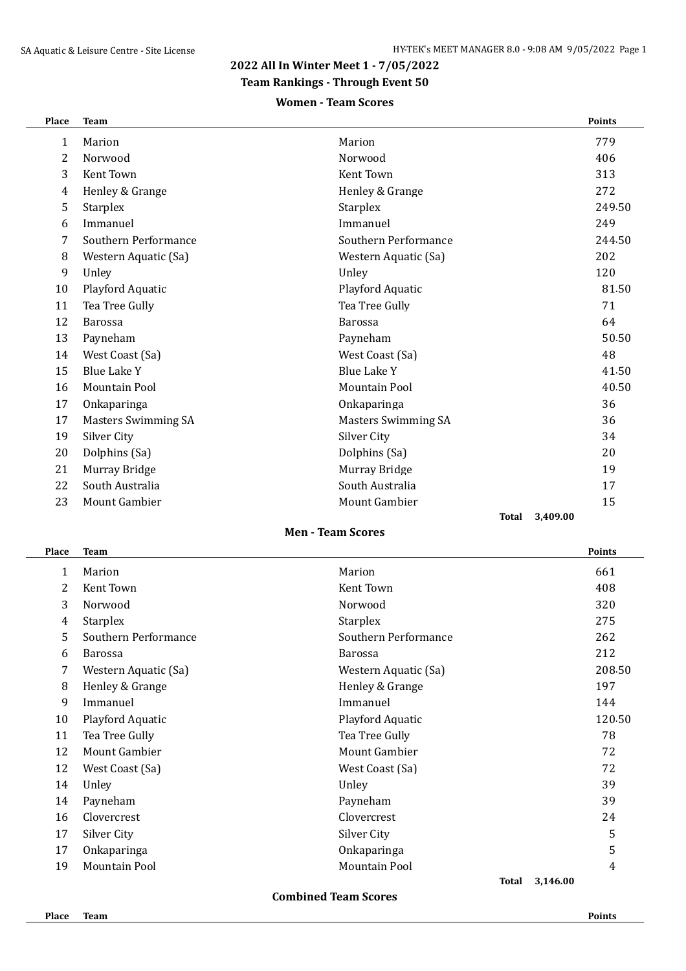### **2022 All In Winter Meet 1 - 7/05/2022**

**Team Rankings - Through Event 50**

### **Women - Team Scores**

| Place        | <b>Team</b>                |                            | <b>Points</b> |
|--------------|----------------------------|----------------------------|---------------|
| $\mathbf{1}$ | Marion                     | Marion                     | 779           |
| 2            | Norwood                    | Norwood                    | 406           |
| 3            | Kent Town                  | Kent Town                  | 313           |
| 4            | Henley & Grange            | Henley & Grange            | 272           |
| 5            | <b>Starplex</b>            | <b>Starplex</b>            | 249.50        |
| 6            | Immanuel                   | Immanuel                   | 249           |
| 7            | Southern Performance       | Southern Performance       | 244.50        |
| 8            | Western Aquatic (Sa)       | Western Aquatic (Sa)       | 202           |
| 9            | Unley                      | Unley                      | 120           |
| 10           | Playford Aquatic           | Playford Aquatic           | 81.50         |
| 11           | Tea Tree Gully             | Tea Tree Gully             | 71            |
| 12           | <b>Barossa</b>             | <b>Barossa</b>             | 64            |
| 13           | Payneham                   | Payneham                   | 50.50         |
| 14           | West Coast (Sa)            | West Coast (Sa)            | 48            |
| 15           | <b>Blue Lake Y</b>         | <b>Blue Lake Y</b>         | 41.50         |
| 16           | <b>Mountain Pool</b>       | Mountain Pool              | 40.50         |
| 17           | Onkaparinga                | Onkaparinga                | 36            |
| 17           | <b>Masters Swimming SA</b> | <b>Masters Swimming SA</b> | 36            |
| 19           | Silver City                | Silver City                | 34            |
| 20           | Dolphins (Sa)              | Dolphins (Sa)              | 20            |
| 21           | Murray Bridge              | Murray Bridge              | 19            |
| 22           | South Australia            | South Australia            | 17            |
| 23           | <b>Mount Gambier</b>       | <b>Mount Gambier</b>       | 15            |
|              |                            | <b>Total</b>               | 3,409.00      |

# **Men - Team Scores**

| Place | <b>Team</b>          |                      | <b>Points</b> |
|-------|----------------------|----------------------|---------------|
| 1     | Marion               | Marion               | 661           |
| 2     | Kent Town            | Kent Town            | 408           |
| 3     | Norwood              | Norwood              | 320           |
| 4     | <b>Starplex</b>      | <b>Starplex</b>      | 275           |
| 5     | Southern Performance | Southern Performance | 262           |
| 6     | <b>Barossa</b>       | <b>Barossa</b>       | 212           |
| 7     | Western Aquatic (Sa) | Western Aquatic (Sa) | 208.50        |
| 8     | Henley & Grange      | Henley & Grange      | 197           |
| 9     | Immanuel             | Immanuel             | 144           |
| 10    | Playford Aquatic     | Playford Aquatic     | 120.50        |
| 11    | Tea Tree Gully       | Tea Tree Gully       | 78            |
| 12    | Mount Gambier        | <b>Mount Gambier</b> | 72            |
| 12    | West Coast (Sa)      | West Coast (Sa)      | 72            |
| 14    | Unley                | Unley                | 39            |
| 14    | Payneham             | Payneham             | 39            |
| 16    | Clovercrest          | Clovercrest          | 24            |
| 17    | Silver City          | Silver City          | 5             |
| 17    | Onkaparinga          | Onkaparinga          | 5             |
| 19    | Mountain Pool        | <b>Mountain Pool</b> | 4             |
|       |                      | <b>Total</b>         | 3,146.00      |

**Combined Team Scores**